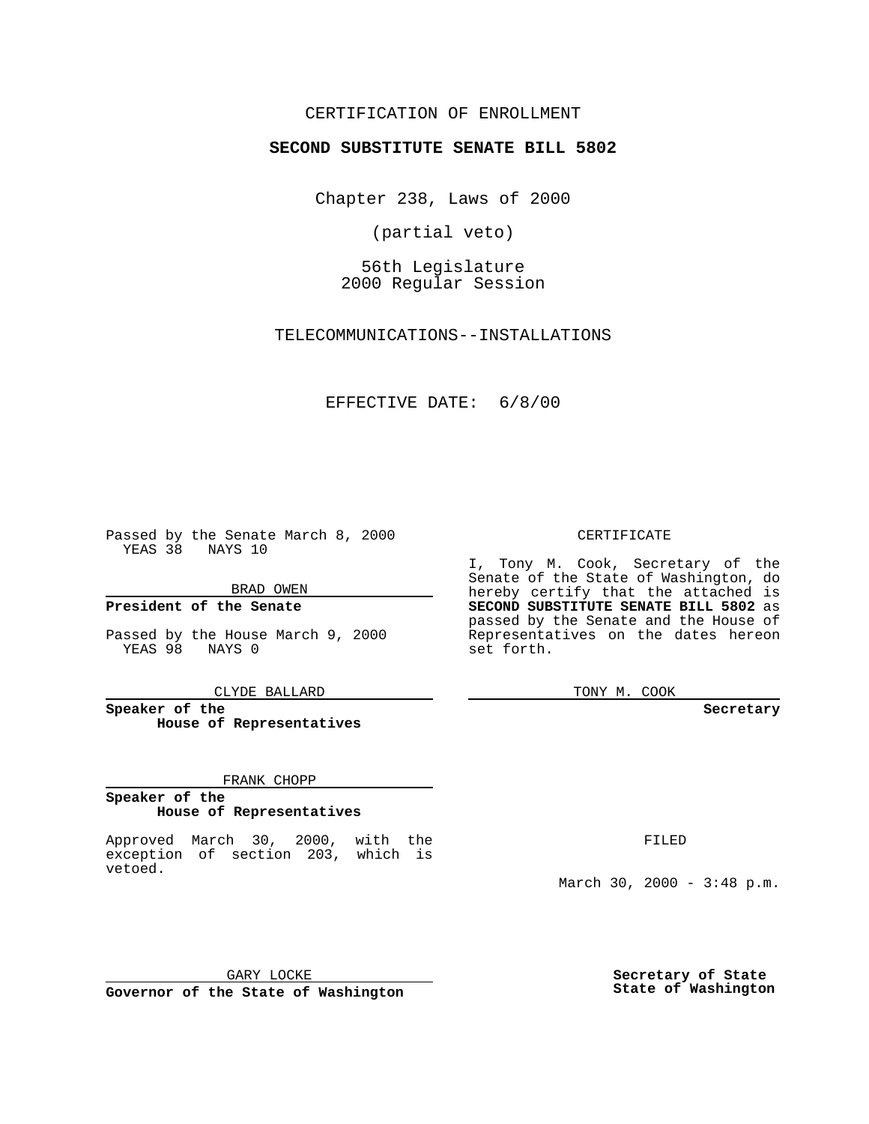## CERTIFICATION OF ENROLLMENT

# **SECOND SUBSTITUTE SENATE BILL 5802**

Chapter 238, Laws of 2000

(partial veto)

56th Legislature 2000 Regular Session

TELECOMMUNICATIONS--INSTALLATIONS

#### EFFECTIVE DATE: 6/8/00

Passed by the Senate March 8, 2000 YEAS 38 NAYS 10

BRAD OWEN

**President of the Senate**

Passed by the House March 9, 2000 YEAS 98 NAYS 0

CLYDE BALLARD

**Speaker of the House of Representatives**

FRANK CHOPP

#### **Speaker of the House of Representatives**

Approved March 30, 2000, with the exception of section 203, which is vetoed.

CERTIFICATE

I, Tony M. Cook, Secretary of the Senate of the State of Washington, do hereby certify that the attached is **SECOND SUBSTITUTE SENATE BILL 5802** as passed by the Senate and the House of Representatives on the dates hereon set forth.

TONY M. COOK

**Secretary**

FILED

March 30, 2000 - 3:48 p.m.

GARY LOCKE **Governor of the State of Washington** **Secretary of State State of Washington**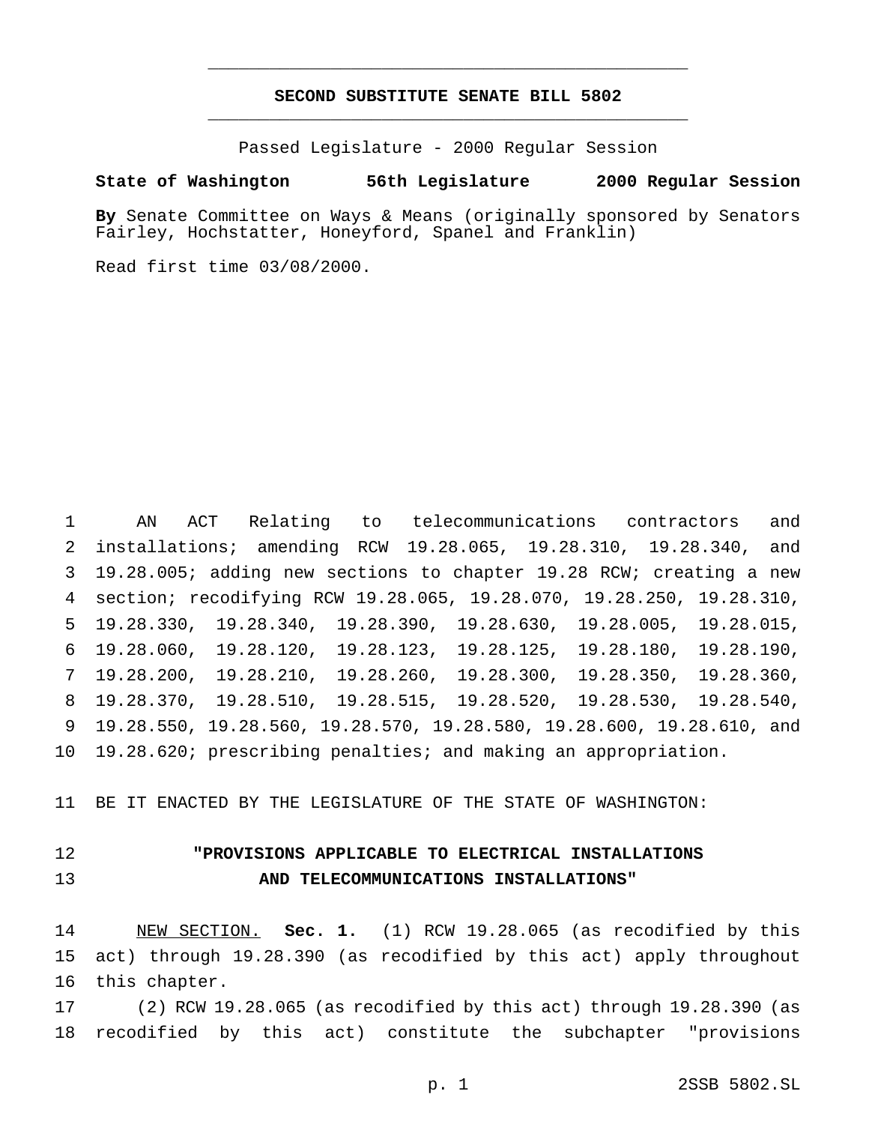## **SECOND SUBSTITUTE SENATE BILL 5802** \_\_\_\_\_\_\_\_\_\_\_\_\_\_\_\_\_\_\_\_\_\_\_\_\_\_\_\_\_\_\_\_\_\_\_\_\_\_\_\_\_\_\_\_\_\_\_

\_\_\_\_\_\_\_\_\_\_\_\_\_\_\_\_\_\_\_\_\_\_\_\_\_\_\_\_\_\_\_\_\_\_\_\_\_\_\_\_\_\_\_\_\_\_\_

Passed Legislature - 2000 Regular Session

#### **State of Washington 56th Legislature 2000 Regular Session**

**By** Senate Committee on Ways & Means (originally sponsored by Senators Fairley, Hochstatter, Honeyford, Spanel and Franklin)

Read first time 03/08/2000.

 AN ACT Relating to telecommunications contractors and installations; amending RCW 19.28.065, 19.28.310, 19.28.340, and 19.28.005; adding new sections to chapter 19.28 RCW; creating a new section; recodifying RCW 19.28.065, 19.28.070, 19.28.250, 19.28.310, 19.28.330, 19.28.340, 19.28.390, 19.28.630, 19.28.005, 19.28.015, 19.28.060, 19.28.120, 19.28.123, 19.28.125, 19.28.180, 19.28.190, 19.28.200, 19.28.210, 19.28.260, 19.28.300, 19.28.350, 19.28.360, 19.28.370, 19.28.510, 19.28.515, 19.28.520, 19.28.530, 19.28.540, 19.28.550, 19.28.560, 19.28.570, 19.28.580, 19.28.600, 19.28.610, and 19.28.620; prescribing penalties; and making an appropriation.

BE IT ENACTED BY THE LEGISLATURE OF THE STATE OF WASHINGTON:

# **"PROVISIONS APPLICABLE TO ELECTRICAL INSTALLATIONS AND TELECOMMUNICATIONS INSTALLATIONS"**

 NEW SECTION. **Sec. 1.** (1) RCW 19.28.065 (as recodified by this act) through 19.28.390 (as recodified by this act) apply throughout this chapter.

 (2) RCW 19.28.065 (as recodified by this act) through 19.28.390 (as recodified by this act) constitute the subchapter "provisions

p. 1 2SSB 5802.SL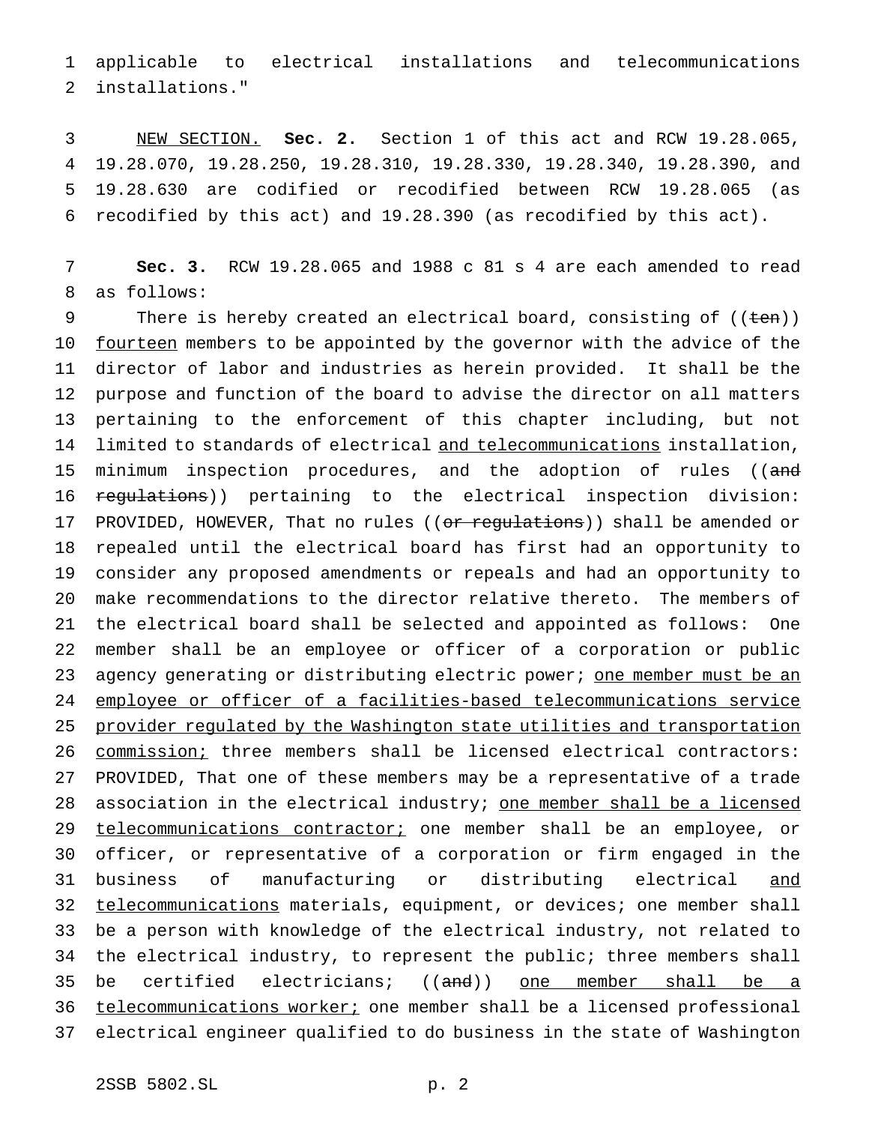applicable to electrical installations and telecommunications installations."

 NEW SECTION. **Sec. 2.** Section 1 of this act and RCW 19.28.065, 19.28.070, 19.28.250, 19.28.310, 19.28.330, 19.28.340, 19.28.390, and 19.28.630 are codified or recodified between RCW 19.28.065 (as recodified by this act) and 19.28.390 (as recodified by this act).

 **Sec. 3.** RCW 19.28.065 and 1988 c 81 s 4 are each amended to read as follows:

9 There is hereby created an electrical board, consisting of ((ten)) 10 fourteen members to be appointed by the governor with the advice of the director of labor and industries as herein provided. It shall be the purpose and function of the board to advise the director on all matters pertaining to the enforcement of this chapter including, but not 14 limited to standards of electrical and telecommunications installation, 15 minimum inspection procedures, and the adoption of rules ((and 16 regulations)) pertaining to the electrical inspection division: 17 PROVIDED, HOWEVER, That no rules ((or regulations)) shall be amended or repealed until the electrical board has first had an opportunity to consider any proposed amendments or repeals and had an opportunity to make recommendations to the director relative thereto. The members of the electrical board shall be selected and appointed as follows: One member shall be an employee or officer of a corporation or public 23 agency generating or distributing electric power; <u>one member must be an</u> employee or officer of a facilities-based telecommunications service provider regulated by the Washington state utilities and transportation commission; three members shall be licensed electrical contractors: PROVIDED, That one of these members may be a representative of a trade 28 association in the electrical industry; one member shall be a licensed 29 telecommunications contractor; one member shall be an employee, or officer, or representative of a corporation or firm engaged in the business of manufacturing or distributing electrical and 32 telecommunications materials, equipment, or devices; one member shall be a person with knowledge of the electrical industry, not related to the electrical industry, to represent the public; three members shall 35 be certified electricians; ((and)) one member shall be a 36 telecommunications worker; one member shall be a licensed professional electrical engineer qualified to do business in the state of Washington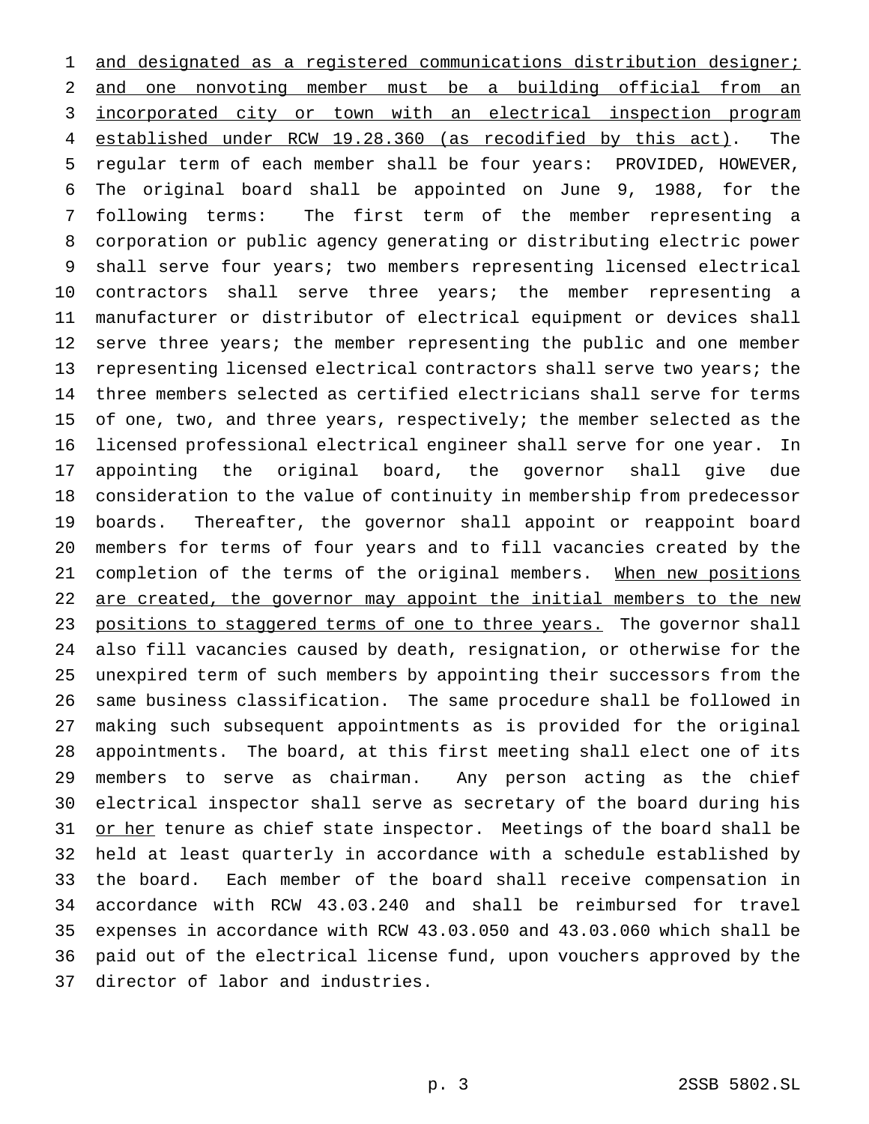1 and designated as a registered communications distribution designer; and one nonvoting member must be a building official from an incorporated city or town with an electrical inspection program established under RCW 19.28.360 (as recodified by this act). The regular term of each member shall be four years: PROVIDED, HOWEVER, The original board shall be appointed on June 9, 1988, for the following terms: The first term of the member representing a corporation or public agency generating or distributing electric power shall serve four years; two members representing licensed electrical contractors shall serve three years; the member representing a manufacturer or distributor of electrical equipment or devices shall 12 serve three years; the member representing the public and one member representing licensed electrical contractors shall serve two years; the three members selected as certified electricians shall serve for terms 15 of one, two, and three years, respectively; the member selected as the licensed professional electrical engineer shall serve for one year. In appointing the original board, the governor shall give due consideration to the value of continuity in membership from predecessor boards. Thereafter, the governor shall appoint or reappoint board members for terms of four years and to fill vacancies created by the 21 completion of the terms of the original members. When new positions 22 are created, the governor may appoint the initial members to the new 23 positions to staggered terms of one to three years. The governor shall also fill vacancies caused by death, resignation, or otherwise for the unexpired term of such members by appointing their successors from the same business classification. The same procedure shall be followed in making such subsequent appointments as is provided for the original appointments. The board, at this first meeting shall elect one of its members to serve as chairman. Any person acting as the chief electrical inspector shall serve as secretary of the board during his 31 or her tenure as chief state inspector. Meetings of the board shall be held at least quarterly in accordance with a schedule established by the board. Each member of the board shall receive compensation in accordance with RCW 43.03.240 and shall be reimbursed for travel expenses in accordance with RCW 43.03.050 and 43.03.060 which shall be paid out of the electrical license fund, upon vouchers approved by the director of labor and industries.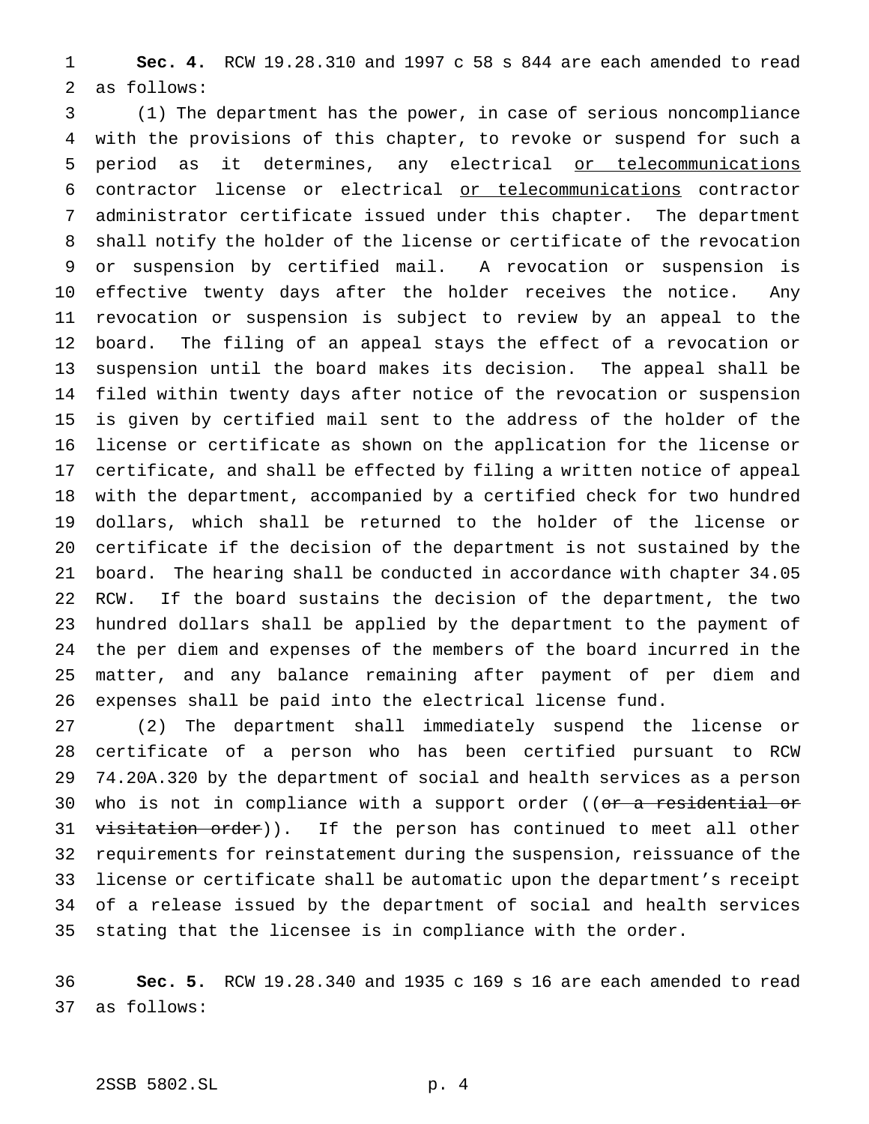**Sec. 4.** RCW 19.28.310 and 1997 c 58 s 844 are each amended to read as follows:

 (1) The department has the power, in case of serious noncompliance with the provisions of this chapter, to revoke or suspend for such a 5 period as it determines, any electrical or telecommunications contractor license or electrical or telecommunications contractor administrator certificate issued under this chapter. The department shall notify the holder of the license or certificate of the revocation or suspension by certified mail. A revocation or suspension is effective twenty days after the holder receives the notice. Any revocation or suspension is subject to review by an appeal to the board. The filing of an appeal stays the effect of a revocation or suspension until the board makes its decision. The appeal shall be filed within twenty days after notice of the revocation or suspension is given by certified mail sent to the address of the holder of the license or certificate as shown on the application for the license or certificate, and shall be effected by filing a written notice of appeal with the department, accompanied by a certified check for two hundred dollars, which shall be returned to the holder of the license or certificate if the decision of the department is not sustained by the board. The hearing shall be conducted in accordance with chapter 34.05 RCW. If the board sustains the decision of the department, the two hundred dollars shall be applied by the department to the payment of the per diem and expenses of the members of the board incurred in the matter, and any balance remaining after payment of per diem and expenses shall be paid into the electrical license fund.

 (2) The department shall immediately suspend the license or certificate of a person who has been certified pursuant to RCW 74.20A.320 by the department of social and health services as a person 30 who is not in compliance with a support order ((or a residential or 31 visitation order)). If the person has continued to meet all other requirements for reinstatement during the suspension, reissuance of the license or certificate shall be automatic upon the department's receipt of a release issued by the department of social and health services stating that the licensee is in compliance with the order.

 **Sec. 5.** RCW 19.28.340 and 1935 c 169 s 16 are each amended to read as follows: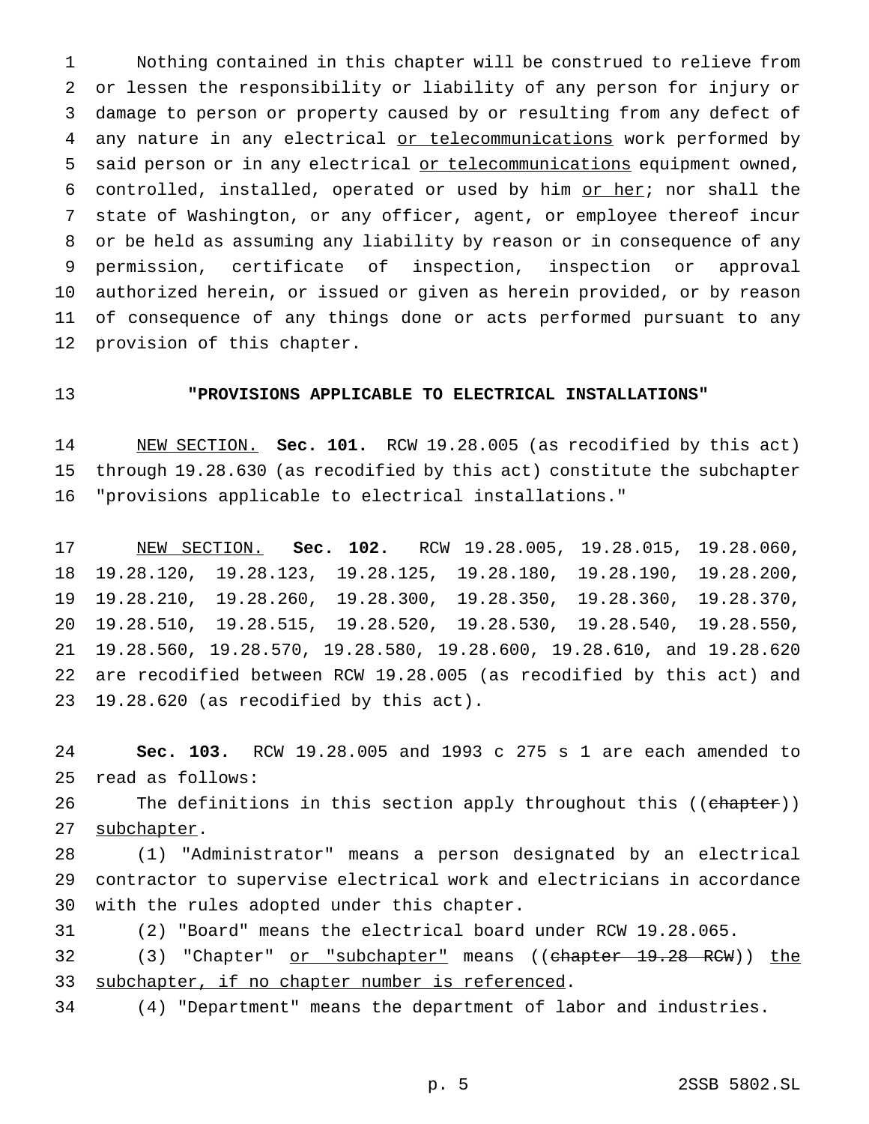Nothing contained in this chapter will be construed to relieve from or lessen the responsibility or liability of any person for injury or damage to person or property caused by or resulting from any defect of 4 any nature in any electrical or telecommunications work performed by 5 said person or in any electrical or telecommunications equipment owned, 6 controlled, installed, operated or used by him  $or$  her; nor shall the state of Washington, or any officer, agent, or employee thereof incur or be held as assuming any liability by reason or in consequence of any permission, certificate of inspection, inspection or approval authorized herein, or issued or given as herein provided, or by reason of consequence of any things done or acts performed pursuant to any provision of this chapter.

## **"PROVISIONS APPLICABLE TO ELECTRICAL INSTALLATIONS"**

 NEW SECTION. **Sec. 101.** RCW 19.28.005 (as recodified by this act) through 19.28.630 (as recodified by this act) constitute the subchapter "provisions applicable to electrical installations."

 NEW SECTION. **Sec. 102.** RCW 19.28.005, 19.28.015, 19.28.060, 19.28.120, 19.28.123, 19.28.125, 19.28.180, 19.28.190, 19.28.200, 19.28.210, 19.28.260, 19.28.300, 19.28.350, 19.28.360, 19.28.370, 19.28.510, 19.28.515, 19.28.520, 19.28.530, 19.28.540, 19.28.550, 19.28.560, 19.28.570, 19.28.580, 19.28.600, 19.28.610, and 19.28.620 are recodified between RCW 19.28.005 (as recodified by this act) and 19.28.620 (as recodified by this act).

 **Sec. 103.** RCW 19.28.005 and 1993 c 275 s 1 are each amended to read as follows:

26 The definitions in this section apply throughout this ((chapter)) 27 subchapter.

 (1) "Administrator" means a person designated by an electrical contractor to supervise electrical work and electricians in accordance with the rules adopted under this chapter.

(2) "Board" means the electrical board under RCW 19.28.065.

32 (3) "Chapter" or "subchapter" means ((chapter 19.28 RCW)) the 33 subchapter, if no chapter number is referenced.

(4) "Department" means the department of labor and industries.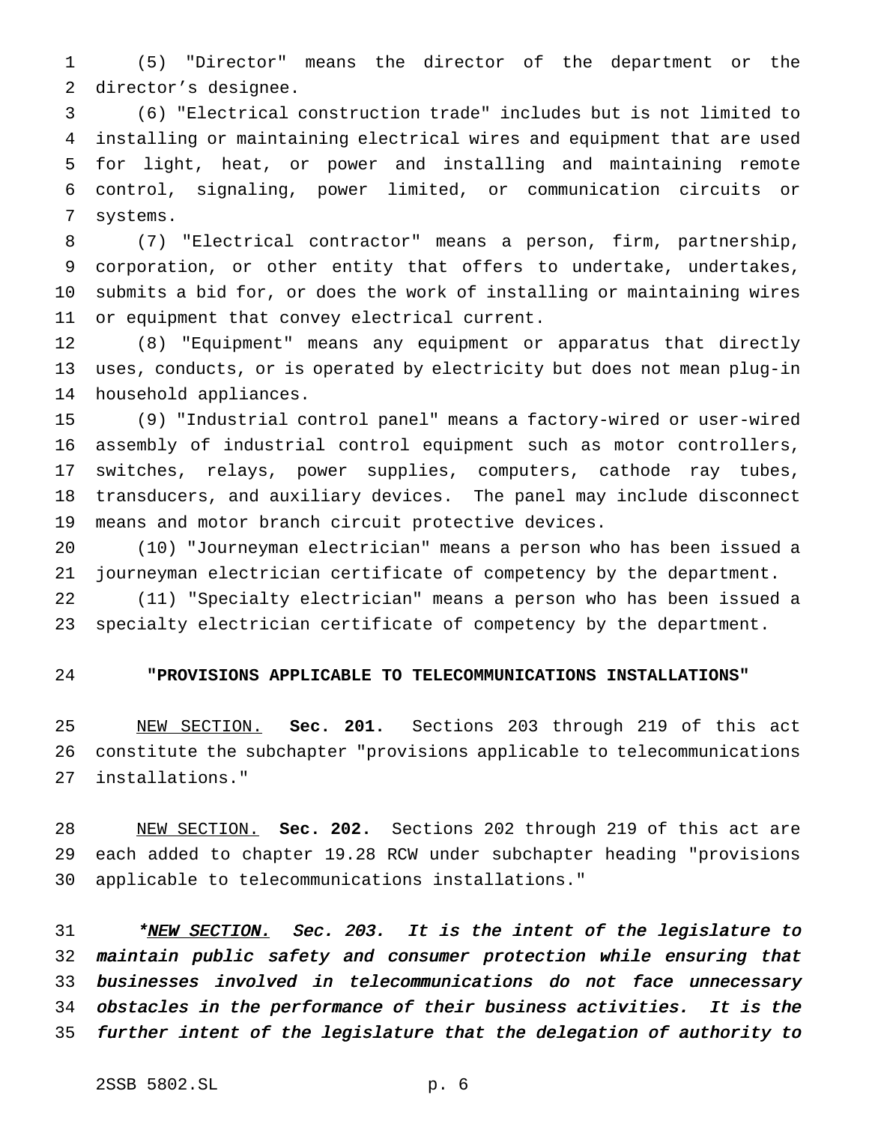(5) "Director" means the director of the department or the director's designee.

 (6) "Electrical construction trade" includes but is not limited to installing or maintaining electrical wires and equipment that are used for light, heat, or power and installing and maintaining remote control, signaling, power limited, or communication circuits or systems.

 (7) "Electrical contractor" means a person, firm, partnership, corporation, or other entity that offers to undertake, undertakes, submits a bid for, or does the work of installing or maintaining wires or equipment that convey electrical current.

 (8) "Equipment" means any equipment or apparatus that directly uses, conducts, or is operated by electricity but does not mean plug-in household appliances.

 (9) "Industrial control panel" means a factory-wired or user-wired assembly of industrial control equipment such as motor controllers, switches, relays, power supplies, computers, cathode ray tubes, transducers, and auxiliary devices. The panel may include disconnect means and motor branch circuit protective devices.

 (10) "Journeyman electrician" means a person who has been issued a journeyman electrician certificate of competency by the department.

 (11) "Specialty electrician" means a person who has been issued a specialty electrician certificate of competency by the department.

#### **"PROVISIONS APPLICABLE TO TELECOMMUNICATIONS INSTALLATIONS"**

 NEW SECTION. **Sec. 201.** Sections 203 through 219 of this act constitute the subchapter "provisions applicable to telecommunications installations."

 NEW SECTION. **Sec. 202.** Sections 202 through 219 of this act are each added to chapter 19.28 RCW under subchapter heading "provisions applicable to telecommunications installations."

31 \*NEW SECTION. Sec. 203. It is the intent of the legislature to maintain public safety and consumer protection while ensuring that businesses involved in telecommunications do not face unnecessary obstacles in the performance of their business activities. It is the further intent of the legislature that the delegation of authority to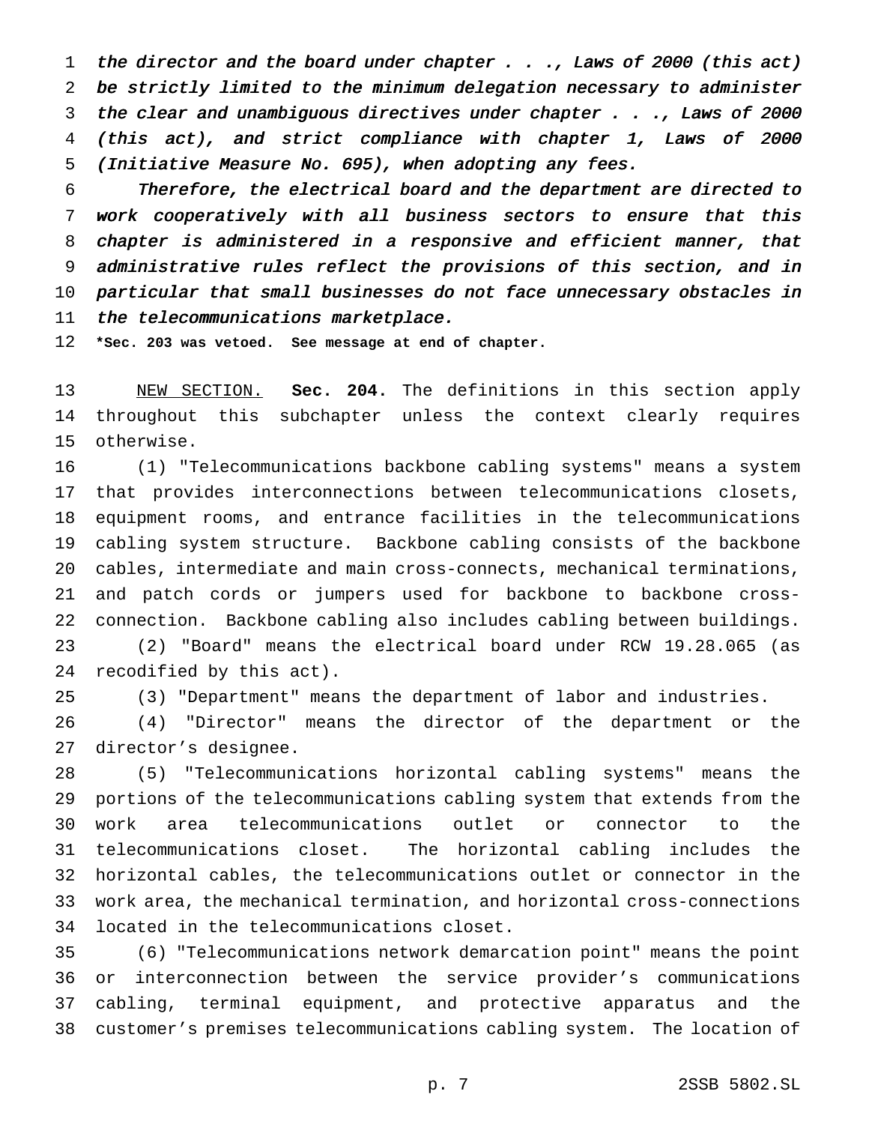the director and the board under chapter . . ., Laws of <sup>2000</sup> (this act) be strictly limited to the minimum delegation necessary to administer the clear and unambiguous directives under chapter . . ., Laws of <sup>2000</sup> (this act), and strict compliance with chapter 1, Laws of <sup>2000</sup> (Initiative Measure No. 695), when adopting any fees.

 Therefore, the electrical board and the department are directed to work cooperatively with all business sectors to ensure that this chapter is administered in <sup>a</sup> responsive and efficient manner, that administrative rules reflect the provisions of this section, and in particular that small businesses do not face unnecessary obstacles in 11 the telecommunications marketplace.

**\*Sec. 203 was vetoed. See message at end of chapter.**

 NEW SECTION. **Sec. 204.** The definitions in this section apply throughout this subchapter unless the context clearly requires otherwise.

 (1) "Telecommunications backbone cabling systems" means a system that provides interconnections between telecommunications closets, equipment rooms, and entrance facilities in the telecommunications cabling system structure. Backbone cabling consists of the backbone cables, intermediate and main cross-connects, mechanical terminations, and patch cords or jumpers used for backbone to backbone cross- connection. Backbone cabling also includes cabling between buildings. (2) "Board" means the electrical board under RCW 19.28.065 (as recodified by this act).

(3) "Department" means the department of labor and industries.

 (4) "Director" means the director of the department or the director's designee.

 (5) "Telecommunications horizontal cabling systems" means the portions of the telecommunications cabling system that extends from the work area telecommunications outlet or connector to the telecommunications closet. The horizontal cabling includes the horizontal cables, the telecommunications outlet or connector in the work area, the mechanical termination, and horizontal cross-connections located in the telecommunications closet.

 (6) "Telecommunications network demarcation point" means the point or interconnection between the service provider's communications cabling, terminal equipment, and protective apparatus and the customer's premises telecommunications cabling system. The location of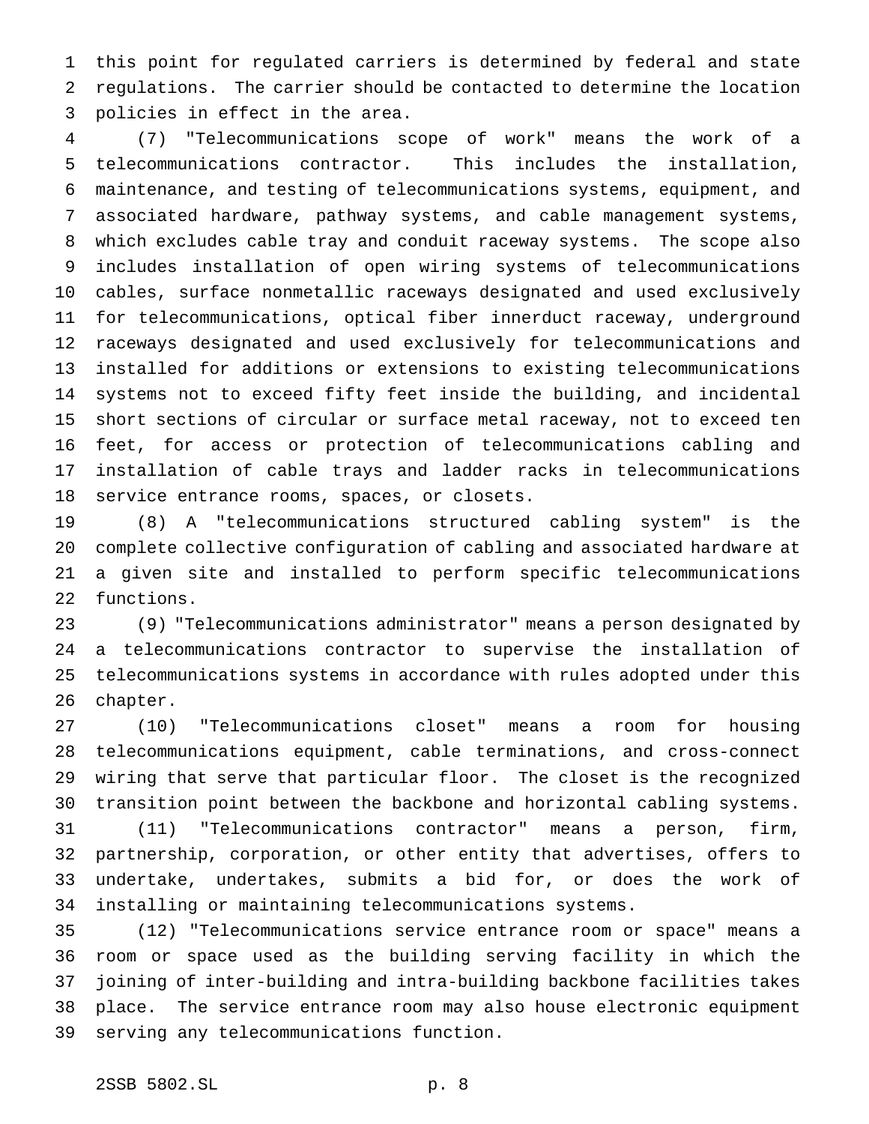this point for regulated carriers is determined by federal and state regulations. The carrier should be contacted to determine the location policies in effect in the area.

 (7) "Telecommunications scope of work" means the work of a telecommunications contractor. This includes the installation, maintenance, and testing of telecommunications systems, equipment, and associated hardware, pathway systems, and cable management systems, which excludes cable tray and conduit raceway systems. The scope also includes installation of open wiring systems of telecommunications cables, surface nonmetallic raceways designated and used exclusively for telecommunications, optical fiber innerduct raceway, underground raceways designated and used exclusively for telecommunications and installed for additions or extensions to existing telecommunications systems not to exceed fifty feet inside the building, and incidental short sections of circular or surface metal raceway, not to exceed ten feet, for access or protection of telecommunications cabling and installation of cable trays and ladder racks in telecommunications service entrance rooms, spaces, or closets.

 (8) A "telecommunications structured cabling system" is the complete collective configuration of cabling and associated hardware at a given site and installed to perform specific telecommunications functions.

 (9) "Telecommunications administrator" means a person designated by a telecommunications contractor to supervise the installation of telecommunications systems in accordance with rules adopted under this chapter.

 (10) "Telecommunications closet" means a room for housing telecommunications equipment, cable terminations, and cross-connect wiring that serve that particular floor. The closet is the recognized transition point between the backbone and horizontal cabling systems. (11) "Telecommunications contractor" means a person, firm, partnership, corporation, or other entity that advertises, offers to undertake, undertakes, submits a bid for, or does the work of installing or maintaining telecommunications systems.

 (12) "Telecommunications service entrance room or space" means a room or space used as the building serving facility in which the joining of inter-building and intra-building backbone facilities takes place. The service entrance room may also house electronic equipment serving any telecommunications function.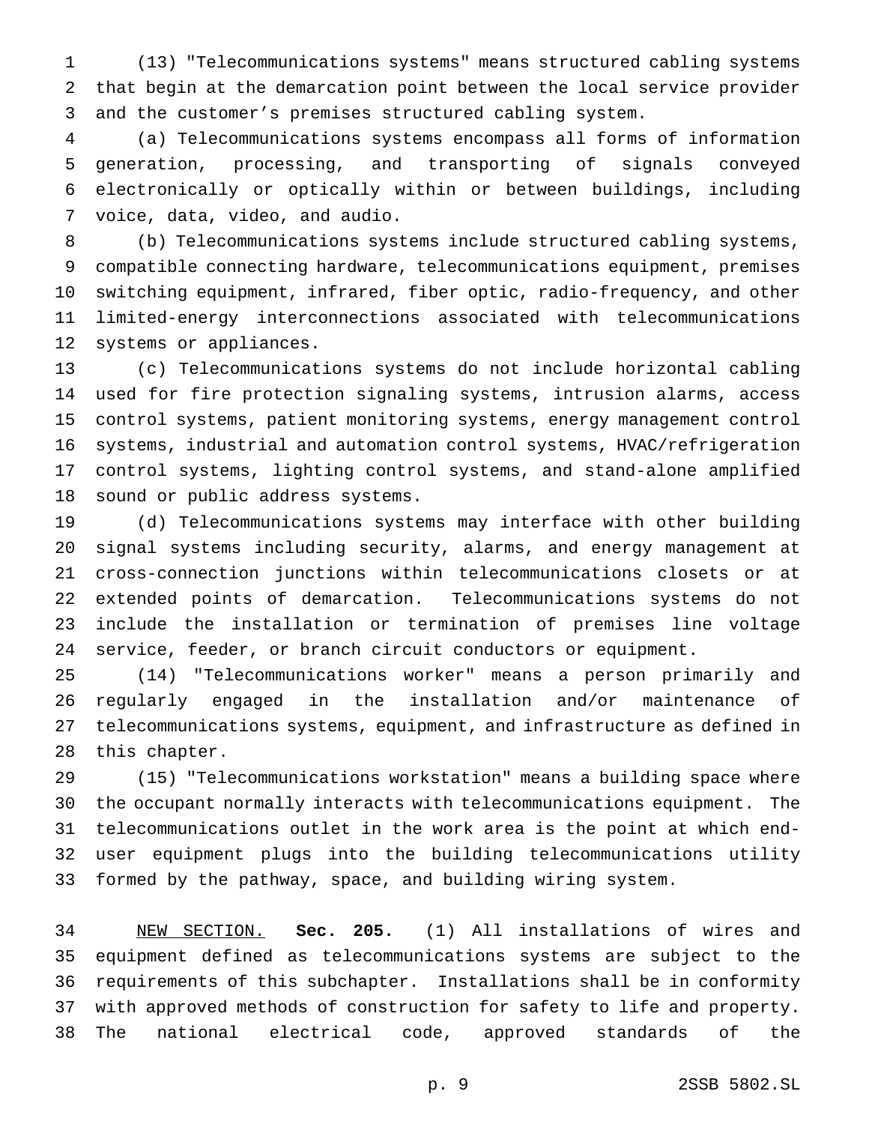(13) "Telecommunications systems" means structured cabling systems that begin at the demarcation point between the local service provider and the customer's premises structured cabling system.

 (a) Telecommunications systems encompass all forms of information generation, processing, and transporting of signals conveyed electronically or optically within or between buildings, including voice, data, video, and audio.

 (b) Telecommunications systems include structured cabling systems, compatible connecting hardware, telecommunications equipment, premises switching equipment, infrared, fiber optic, radio-frequency, and other limited-energy interconnections associated with telecommunications systems or appliances.

 (c) Telecommunications systems do not include horizontal cabling used for fire protection signaling systems, intrusion alarms, access control systems, patient monitoring systems, energy management control systems, industrial and automation control systems, HVAC/refrigeration control systems, lighting control systems, and stand-alone amplified sound or public address systems.

 (d) Telecommunications systems may interface with other building signal systems including security, alarms, and energy management at cross-connection junctions within telecommunications closets or at extended points of demarcation. Telecommunications systems do not include the installation or termination of premises line voltage service, feeder, or branch circuit conductors or equipment.

 (14) "Telecommunications worker" means a person primarily and regularly engaged in the installation and/or maintenance of telecommunications systems, equipment, and infrastructure as defined in this chapter.

 (15) "Telecommunications workstation" means a building space where the occupant normally interacts with telecommunications equipment. The telecommunications outlet in the work area is the point at which end- user equipment plugs into the building telecommunications utility formed by the pathway, space, and building wiring system.

 NEW SECTION. **Sec. 205.** (1) All installations of wires and equipment defined as telecommunications systems are subject to the requirements of this subchapter. Installations shall be in conformity with approved methods of construction for safety to life and property. The national electrical code, approved standards of the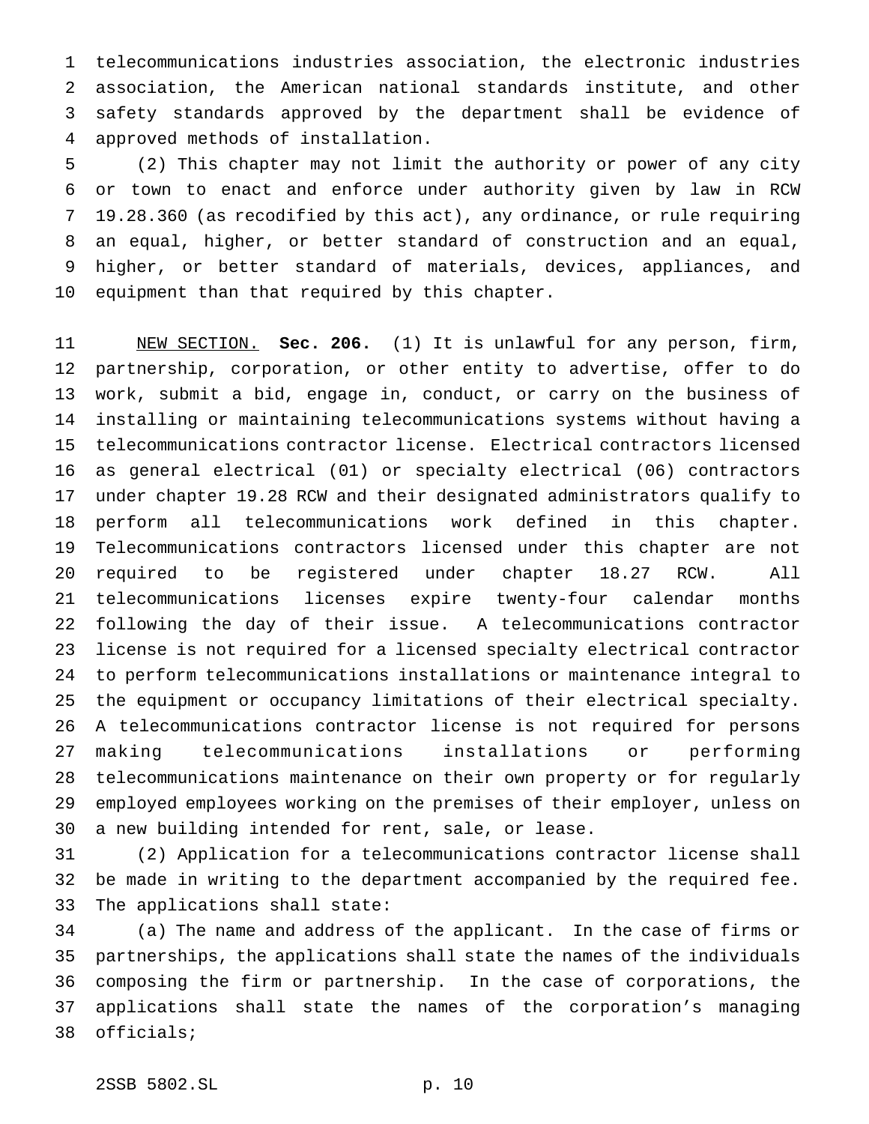telecommunications industries association, the electronic industries association, the American national standards institute, and other safety standards approved by the department shall be evidence of approved methods of installation.

 (2) This chapter may not limit the authority or power of any city or town to enact and enforce under authority given by law in RCW 19.28.360 (as recodified by this act), any ordinance, or rule requiring an equal, higher, or better standard of construction and an equal, higher, or better standard of materials, devices, appliances, and equipment than that required by this chapter.

 NEW SECTION. **Sec. 206.** (1) It is unlawful for any person, firm, partnership, corporation, or other entity to advertise, offer to do work, submit a bid, engage in, conduct, or carry on the business of installing or maintaining telecommunications systems without having a telecommunications contractor license. Electrical contractors licensed as general electrical (01) or specialty electrical (06) contractors under chapter 19.28 RCW and their designated administrators qualify to perform all telecommunications work defined in this chapter. Telecommunications contractors licensed under this chapter are not required to be registered under chapter 18.27 RCW. All telecommunications licenses expire twenty-four calendar months following the day of their issue. A telecommunications contractor license is not required for a licensed specialty electrical contractor to perform telecommunications installations or maintenance integral to the equipment or occupancy limitations of their electrical specialty. A telecommunications contractor license is not required for persons making telecommunications installations or performing telecommunications maintenance on their own property or for regularly employed employees working on the premises of their employer, unless on a new building intended for rent, sale, or lease.

 (2) Application for a telecommunications contractor license shall be made in writing to the department accompanied by the required fee. The applications shall state:

 (a) The name and address of the applicant. In the case of firms or partnerships, the applications shall state the names of the individuals composing the firm or partnership. In the case of corporations, the applications shall state the names of the corporation's managing officials;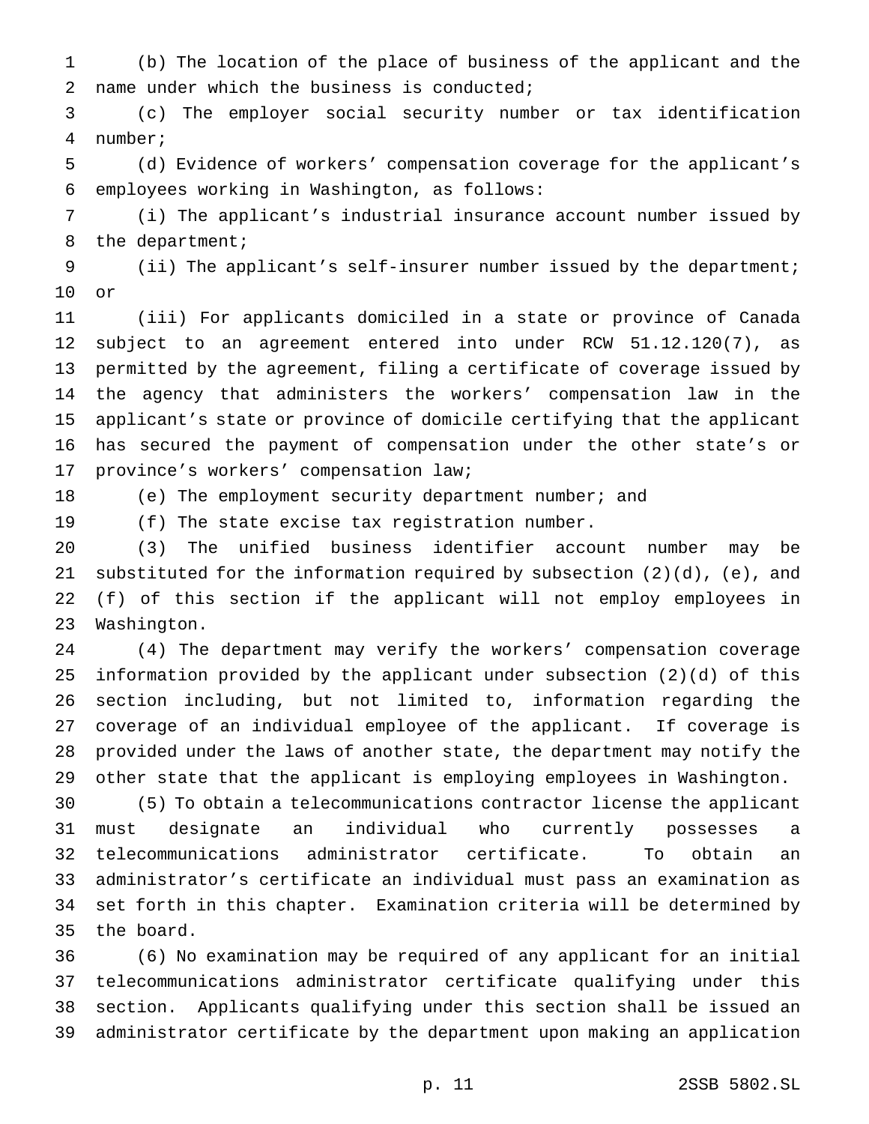(b) The location of the place of business of the applicant and the name under which the business is conducted;

 (c) The employer social security number or tax identification number;

 (d) Evidence of workers' compensation coverage for the applicant's employees working in Washington, as follows:

 (i) The applicant's industrial insurance account number issued by the department;

 (ii) The applicant's self-insurer number issued by the department; or

 (iii) For applicants domiciled in a state or province of Canada subject to an agreement entered into under RCW 51.12.120(7), as permitted by the agreement, filing a certificate of coverage issued by the agency that administers the workers' compensation law in the applicant's state or province of domicile certifying that the applicant has secured the payment of compensation under the other state's or province's workers' compensation law;

18 (e) The employment security department number; and

(f) The state excise tax registration number.

 (3) The unified business identifier account number may be substituted for the information required by subsection (2)(d), (e), and (f) of this section if the applicant will not employ employees in Washington.

 (4) The department may verify the workers' compensation coverage information provided by the applicant under subsection (2)(d) of this section including, but not limited to, information regarding the coverage of an individual employee of the applicant. If coverage is provided under the laws of another state, the department may notify the other state that the applicant is employing employees in Washington.

 (5) To obtain a telecommunications contractor license the applicant must designate an individual who currently possesses a telecommunications administrator certificate. To obtain an administrator's certificate an individual must pass an examination as set forth in this chapter. Examination criteria will be determined by the board.

 (6) No examination may be required of any applicant for an initial telecommunications administrator certificate qualifying under this section. Applicants qualifying under this section shall be issued an administrator certificate by the department upon making an application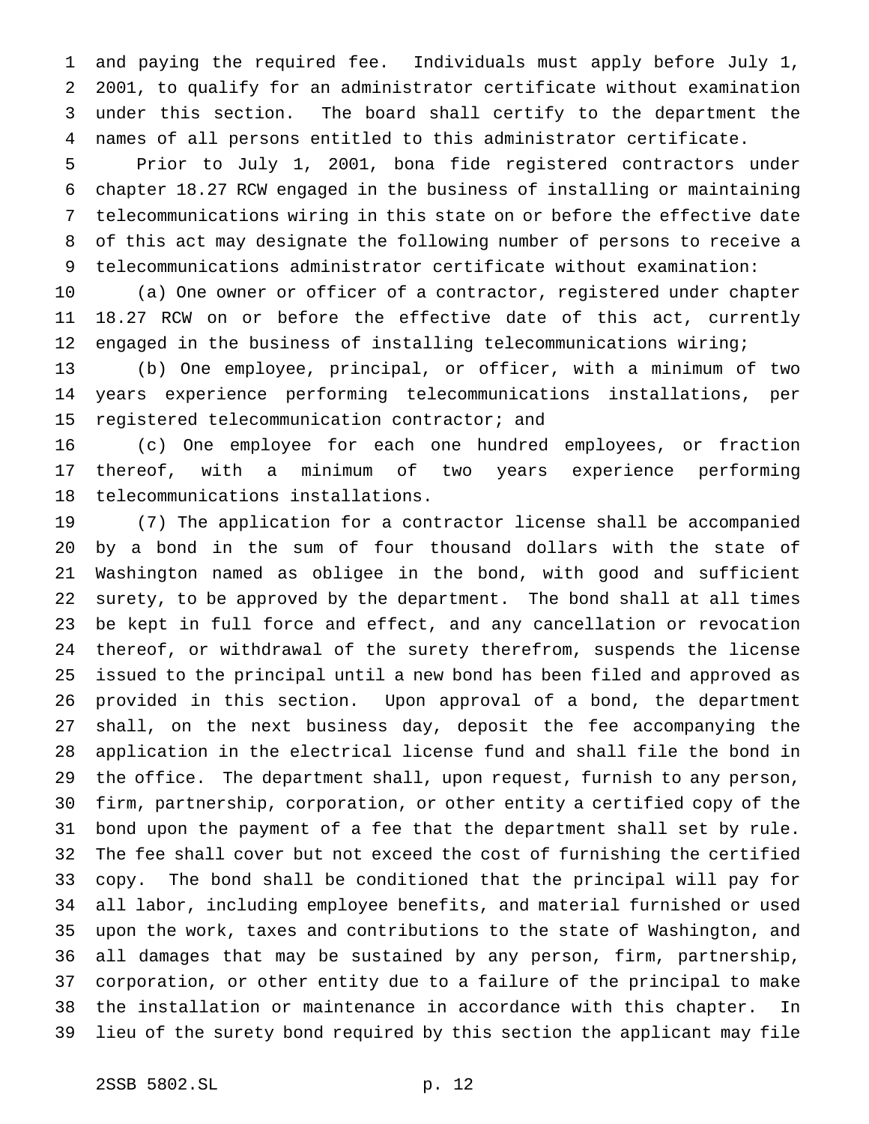and paying the required fee. Individuals must apply before July 1, 2001, to qualify for an administrator certificate without examination under this section. The board shall certify to the department the names of all persons entitled to this administrator certificate.

 Prior to July 1, 2001, bona fide registered contractors under chapter 18.27 RCW engaged in the business of installing or maintaining telecommunications wiring in this state on or before the effective date of this act may designate the following number of persons to receive a telecommunications administrator certificate without examination:

 (a) One owner or officer of a contractor, registered under chapter 18.27 RCW on or before the effective date of this act, currently engaged in the business of installing telecommunications wiring;

 (b) One employee, principal, or officer, with a minimum of two years experience performing telecommunications installations, per registered telecommunication contractor; and

 (c) One employee for each one hundred employees, or fraction thereof, with a minimum of two years experience performing telecommunications installations.

 (7) The application for a contractor license shall be accompanied by a bond in the sum of four thousand dollars with the state of Washington named as obligee in the bond, with good and sufficient surety, to be approved by the department. The bond shall at all times be kept in full force and effect, and any cancellation or revocation thereof, or withdrawal of the surety therefrom, suspends the license issued to the principal until a new bond has been filed and approved as provided in this section. Upon approval of a bond, the department shall, on the next business day, deposit the fee accompanying the application in the electrical license fund and shall file the bond in the office. The department shall, upon request, furnish to any person, firm, partnership, corporation, or other entity a certified copy of the bond upon the payment of a fee that the department shall set by rule. The fee shall cover but not exceed the cost of furnishing the certified copy. The bond shall be conditioned that the principal will pay for all labor, including employee benefits, and material furnished or used upon the work, taxes and contributions to the state of Washington, and all damages that may be sustained by any person, firm, partnership, corporation, or other entity due to a failure of the principal to make the installation or maintenance in accordance with this chapter. In lieu of the surety bond required by this section the applicant may file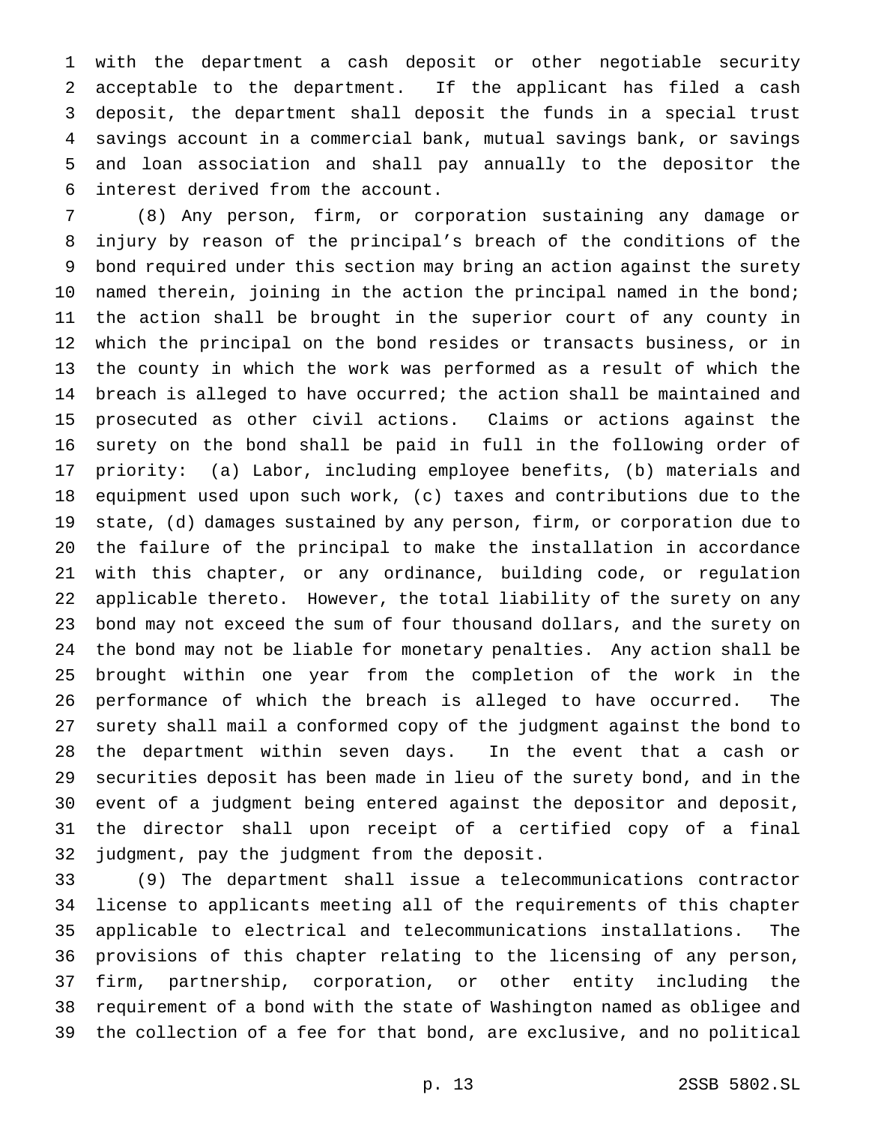with the department a cash deposit or other negotiable security acceptable to the department. If the applicant has filed a cash deposit, the department shall deposit the funds in a special trust savings account in a commercial bank, mutual savings bank, or savings and loan association and shall pay annually to the depositor the interest derived from the account.

 (8) Any person, firm, or corporation sustaining any damage or injury by reason of the principal's breach of the conditions of the bond required under this section may bring an action against the surety 10 named therein, joining in the action the principal named in the bond; the action shall be brought in the superior court of any county in which the principal on the bond resides or transacts business, or in the county in which the work was performed as a result of which the breach is alleged to have occurred; the action shall be maintained and prosecuted as other civil actions. Claims or actions against the surety on the bond shall be paid in full in the following order of priority: (a) Labor, including employee benefits, (b) materials and equipment used upon such work, (c) taxes and contributions due to the state, (d) damages sustained by any person, firm, or corporation due to the failure of the principal to make the installation in accordance with this chapter, or any ordinance, building code, or regulation applicable thereto. However, the total liability of the surety on any bond may not exceed the sum of four thousand dollars, and the surety on the bond may not be liable for monetary penalties. Any action shall be brought within one year from the completion of the work in the performance of which the breach is alleged to have occurred. The surety shall mail a conformed copy of the judgment against the bond to the department within seven days. In the event that a cash or securities deposit has been made in lieu of the surety bond, and in the event of a judgment being entered against the depositor and deposit, the director shall upon receipt of a certified copy of a final judgment, pay the judgment from the deposit.

 (9) The department shall issue a telecommunications contractor license to applicants meeting all of the requirements of this chapter applicable to electrical and telecommunications installations. The provisions of this chapter relating to the licensing of any person, firm, partnership, corporation, or other entity including the requirement of a bond with the state of Washington named as obligee and the collection of a fee for that bond, are exclusive, and no political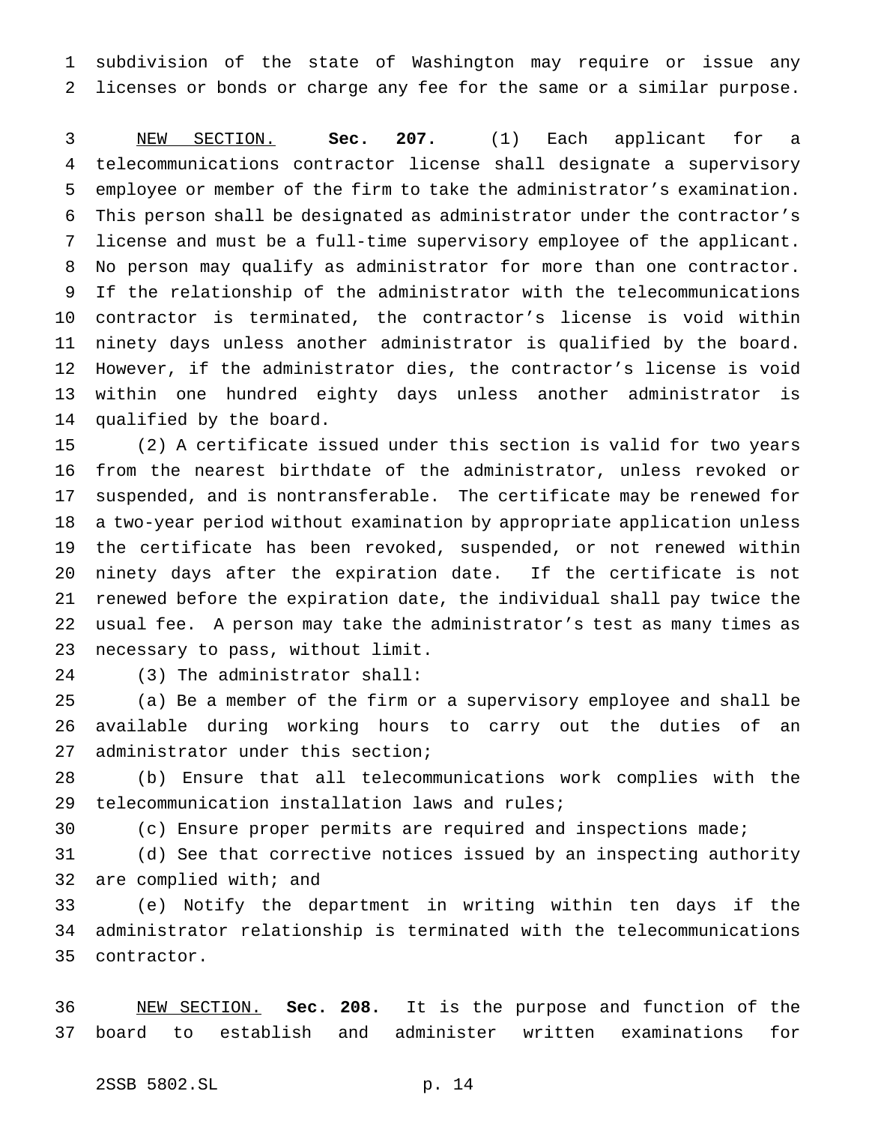subdivision of the state of Washington may require or issue any licenses or bonds or charge any fee for the same or a similar purpose.

 NEW SECTION. **Sec. 207.** (1) Each applicant for a telecommunications contractor license shall designate a supervisory employee or member of the firm to take the administrator's examination. This person shall be designated as administrator under the contractor's license and must be a full-time supervisory employee of the applicant. No person may qualify as administrator for more than one contractor. If the relationship of the administrator with the telecommunications contractor is terminated, the contractor's license is void within ninety days unless another administrator is qualified by the board. However, if the administrator dies, the contractor's license is void within one hundred eighty days unless another administrator is qualified by the board.

 (2) A certificate issued under this section is valid for two years from the nearest birthdate of the administrator, unless revoked or suspended, and is nontransferable. The certificate may be renewed for a two-year period without examination by appropriate application unless the certificate has been revoked, suspended, or not renewed within ninety days after the expiration date. If the certificate is not renewed before the expiration date, the individual shall pay twice the usual fee. A person may take the administrator's test as many times as necessary to pass, without limit.

(3) The administrator shall:

 (a) Be a member of the firm or a supervisory employee and shall be available during working hours to carry out the duties of an administrator under this section;

 (b) Ensure that all telecommunications work complies with the telecommunication installation laws and rules;

(c) Ensure proper permits are required and inspections made;

 (d) See that corrective notices issued by an inspecting authority are complied with; and

 (e) Notify the department in writing within ten days if the administrator relationship is terminated with the telecommunications contractor.

 NEW SECTION. **Sec. 208.** It is the purpose and function of the board to establish and administer written examinations for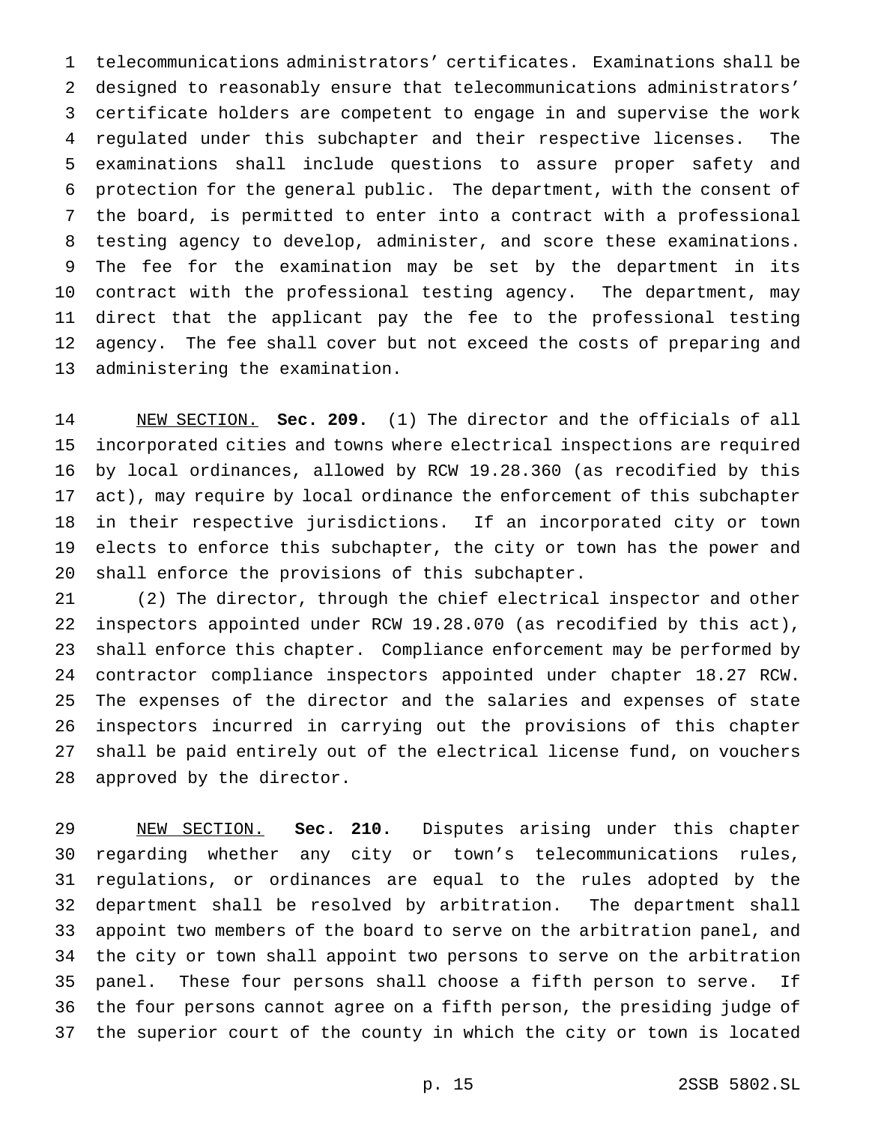telecommunications administrators' certificates. Examinations shall be designed to reasonably ensure that telecommunications administrators' certificate holders are competent to engage in and supervise the work regulated under this subchapter and their respective licenses. The examinations shall include questions to assure proper safety and protection for the general public. The department, with the consent of the board, is permitted to enter into a contract with a professional testing agency to develop, administer, and score these examinations. The fee for the examination may be set by the department in its contract with the professional testing agency. The department, may direct that the applicant pay the fee to the professional testing agency. The fee shall cover but not exceed the costs of preparing and administering the examination.

 NEW SECTION. **Sec. 209.** (1) The director and the officials of all incorporated cities and towns where electrical inspections are required by local ordinances, allowed by RCW 19.28.360 (as recodified by this act), may require by local ordinance the enforcement of this subchapter in their respective jurisdictions. If an incorporated city or town elects to enforce this subchapter, the city or town has the power and shall enforce the provisions of this subchapter.

 (2) The director, through the chief electrical inspector and other inspectors appointed under RCW 19.28.070 (as recodified by this act), shall enforce this chapter. Compliance enforcement may be performed by contractor compliance inspectors appointed under chapter 18.27 RCW. The expenses of the director and the salaries and expenses of state inspectors incurred in carrying out the provisions of this chapter shall be paid entirely out of the electrical license fund, on vouchers approved by the director.

 NEW SECTION. **Sec. 210.** Disputes arising under this chapter regarding whether any city or town's telecommunications rules, regulations, or ordinances are equal to the rules adopted by the department shall be resolved by arbitration. The department shall appoint two members of the board to serve on the arbitration panel, and the city or town shall appoint two persons to serve on the arbitration panel. These four persons shall choose a fifth person to serve. If the four persons cannot agree on a fifth person, the presiding judge of the superior court of the county in which the city or town is located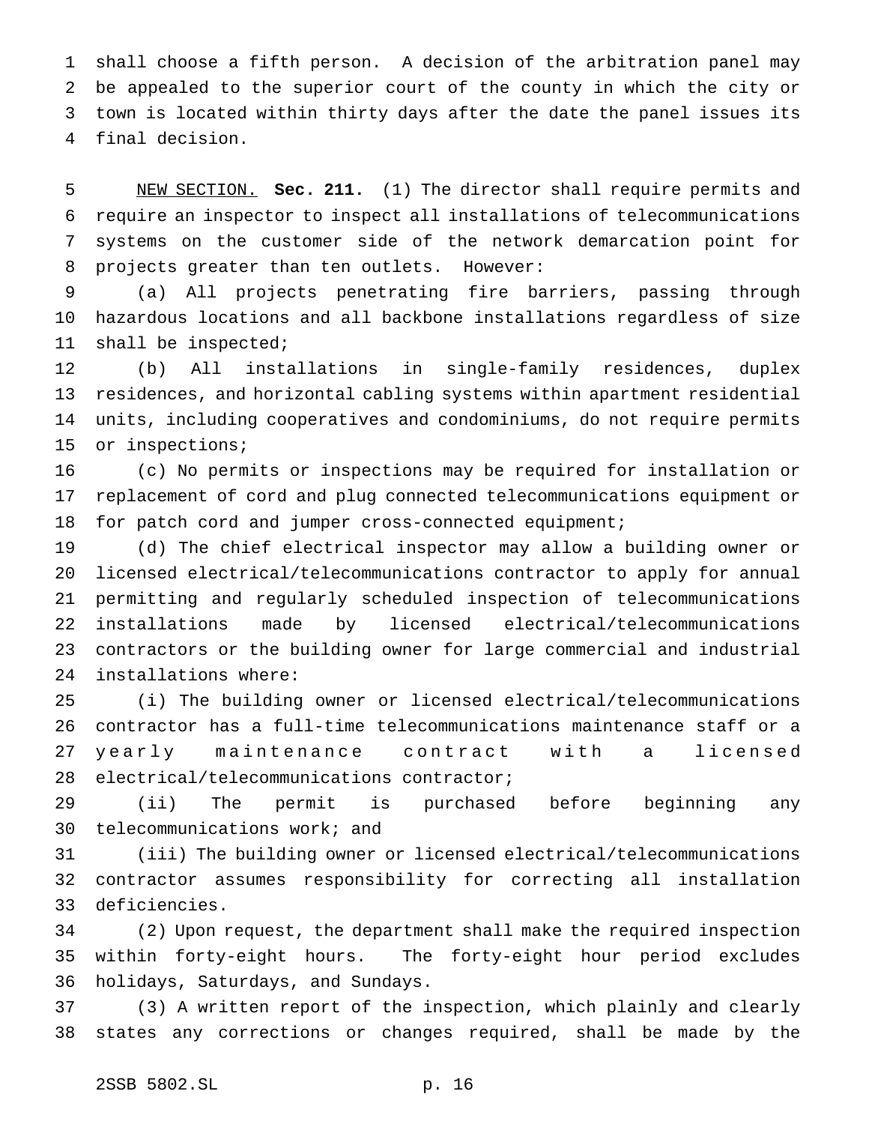shall choose a fifth person. A decision of the arbitration panel may be appealed to the superior court of the county in which the city or town is located within thirty days after the date the panel issues its final decision.

 NEW SECTION. **Sec. 211.** (1) The director shall require permits and require an inspector to inspect all installations of telecommunications systems on the customer side of the network demarcation point for projects greater than ten outlets. However:

 (a) All projects penetrating fire barriers, passing through hazardous locations and all backbone installations regardless of size shall be inspected;

 (b) All installations in single-family residences, duplex residences, and horizontal cabling systems within apartment residential units, including cooperatives and condominiums, do not require permits or inspections;

 (c) No permits or inspections may be required for installation or replacement of cord and plug connected telecommunications equipment or 18 for patch cord and jumper cross-connected equipment;

 (d) The chief electrical inspector may allow a building owner or licensed electrical/telecommunications contractor to apply for annual permitting and regularly scheduled inspection of telecommunications installations made by licensed electrical/telecommunications contractors or the building owner for large commercial and industrial installations where:

 (i) The building owner or licensed electrical/telecommunications contractor has a full-time telecommunications maintenance staff or a yearly maintenance contract with a licensed electrical/telecommunications contractor;

 (ii) The permit is purchased before beginning any telecommunications work; and

 (iii) The building owner or licensed electrical/telecommunications contractor assumes responsibility for correcting all installation deficiencies.

 (2) Upon request, the department shall make the required inspection within forty-eight hours. The forty-eight hour period excludes holidays, Saturdays, and Sundays.

 (3) A written report of the inspection, which plainly and clearly states any corrections or changes required, shall be made by the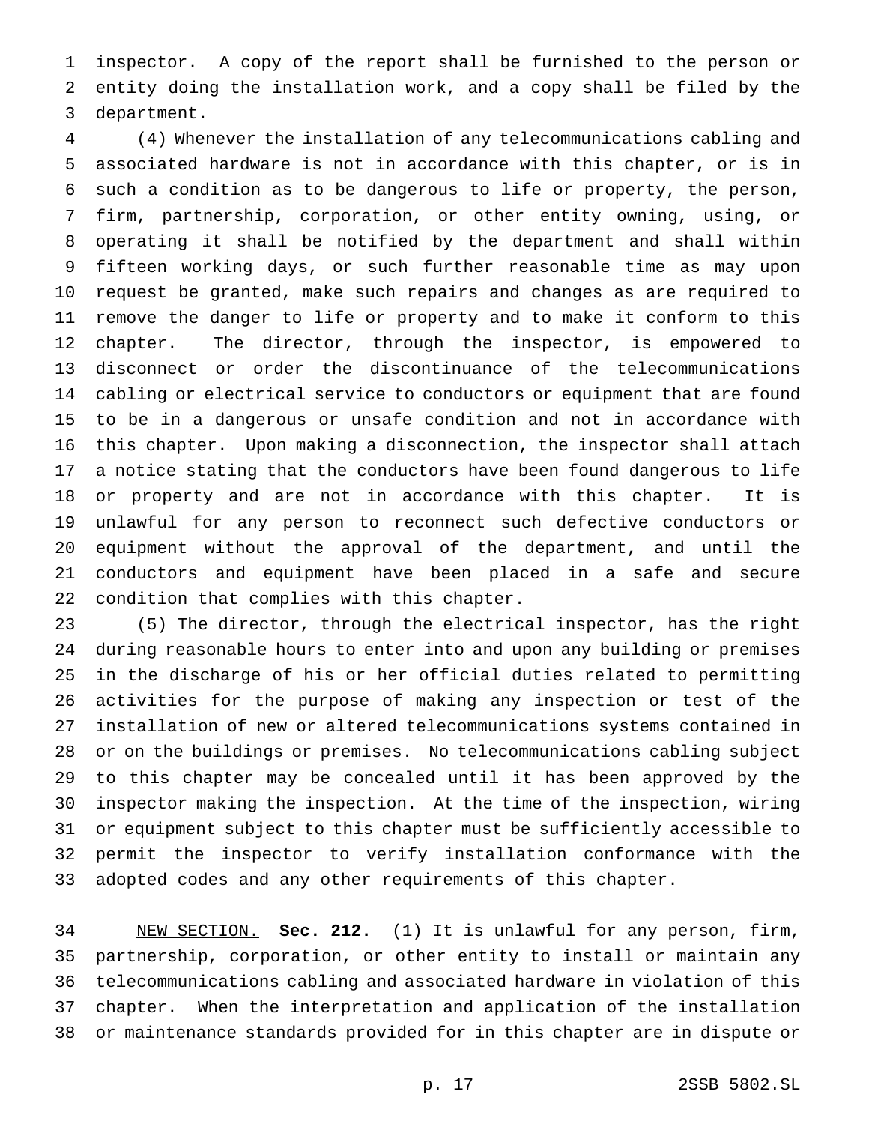inspector. A copy of the report shall be furnished to the person or entity doing the installation work, and a copy shall be filed by the department.

 (4) Whenever the installation of any telecommunications cabling and associated hardware is not in accordance with this chapter, or is in such a condition as to be dangerous to life or property, the person, firm, partnership, corporation, or other entity owning, using, or operating it shall be notified by the department and shall within fifteen working days, or such further reasonable time as may upon request be granted, make such repairs and changes as are required to remove the danger to life or property and to make it conform to this chapter. The director, through the inspector, is empowered to disconnect or order the discontinuance of the telecommunications cabling or electrical service to conductors or equipment that are found to be in a dangerous or unsafe condition and not in accordance with this chapter. Upon making a disconnection, the inspector shall attach a notice stating that the conductors have been found dangerous to life or property and are not in accordance with this chapter. It is unlawful for any person to reconnect such defective conductors or equipment without the approval of the department, and until the conductors and equipment have been placed in a safe and secure condition that complies with this chapter.

 (5) The director, through the electrical inspector, has the right during reasonable hours to enter into and upon any building or premises in the discharge of his or her official duties related to permitting activities for the purpose of making any inspection or test of the installation of new or altered telecommunications systems contained in or on the buildings or premises. No telecommunications cabling subject to this chapter may be concealed until it has been approved by the inspector making the inspection. At the time of the inspection, wiring or equipment subject to this chapter must be sufficiently accessible to permit the inspector to verify installation conformance with the adopted codes and any other requirements of this chapter.

 NEW SECTION. **Sec. 212.** (1) It is unlawful for any person, firm, partnership, corporation, or other entity to install or maintain any telecommunications cabling and associated hardware in violation of this chapter. When the interpretation and application of the installation or maintenance standards provided for in this chapter are in dispute or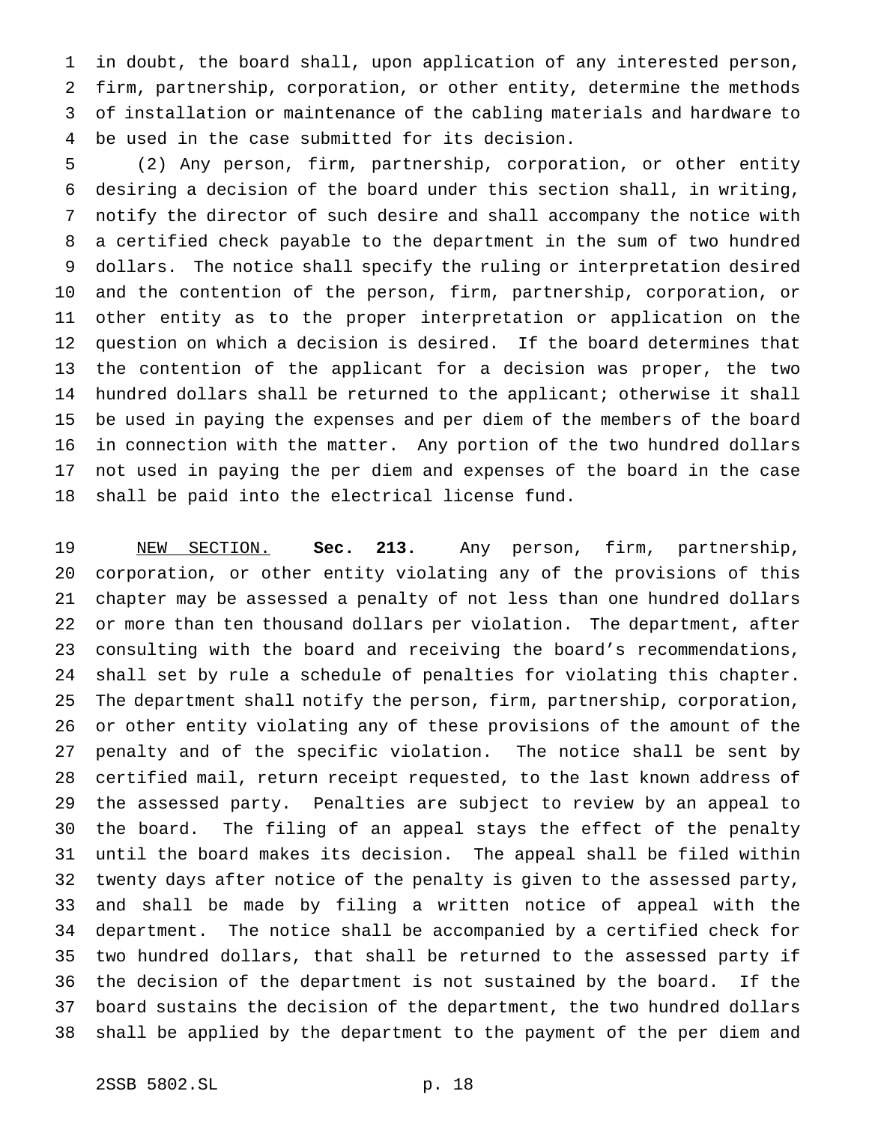in doubt, the board shall, upon application of any interested person, firm, partnership, corporation, or other entity, determine the methods of installation or maintenance of the cabling materials and hardware to be used in the case submitted for its decision.

 (2) Any person, firm, partnership, corporation, or other entity desiring a decision of the board under this section shall, in writing, notify the director of such desire and shall accompany the notice with a certified check payable to the department in the sum of two hundred dollars. The notice shall specify the ruling or interpretation desired and the contention of the person, firm, partnership, corporation, or other entity as to the proper interpretation or application on the question on which a decision is desired. If the board determines that the contention of the applicant for a decision was proper, the two hundred dollars shall be returned to the applicant; otherwise it shall be used in paying the expenses and per diem of the members of the board in connection with the matter. Any portion of the two hundred dollars not used in paying the per diem and expenses of the board in the case shall be paid into the electrical license fund.

 NEW SECTION. **Sec. 213.** Any person, firm, partnership, corporation, or other entity violating any of the provisions of this chapter may be assessed a penalty of not less than one hundred dollars or more than ten thousand dollars per violation. The department, after consulting with the board and receiving the board's recommendations, shall set by rule a schedule of penalties for violating this chapter. The department shall notify the person, firm, partnership, corporation, or other entity violating any of these provisions of the amount of the penalty and of the specific violation. The notice shall be sent by certified mail, return receipt requested, to the last known address of the assessed party. Penalties are subject to review by an appeal to the board. The filing of an appeal stays the effect of the penalty until the board makes its decision. The appeal shall be filed within twenty days after notice of the penalty is given to the assessed party, and shall be made by filing a written notice of appeal with the department. The notice shall be accompanied by a certified check for two hundred dollars, that shall be returned to the assessed party if the decision of the department is not sustained by the board. If the board sustains the decision of the department, the two hundred dollars shall be applied by the department to the payment of the per diem and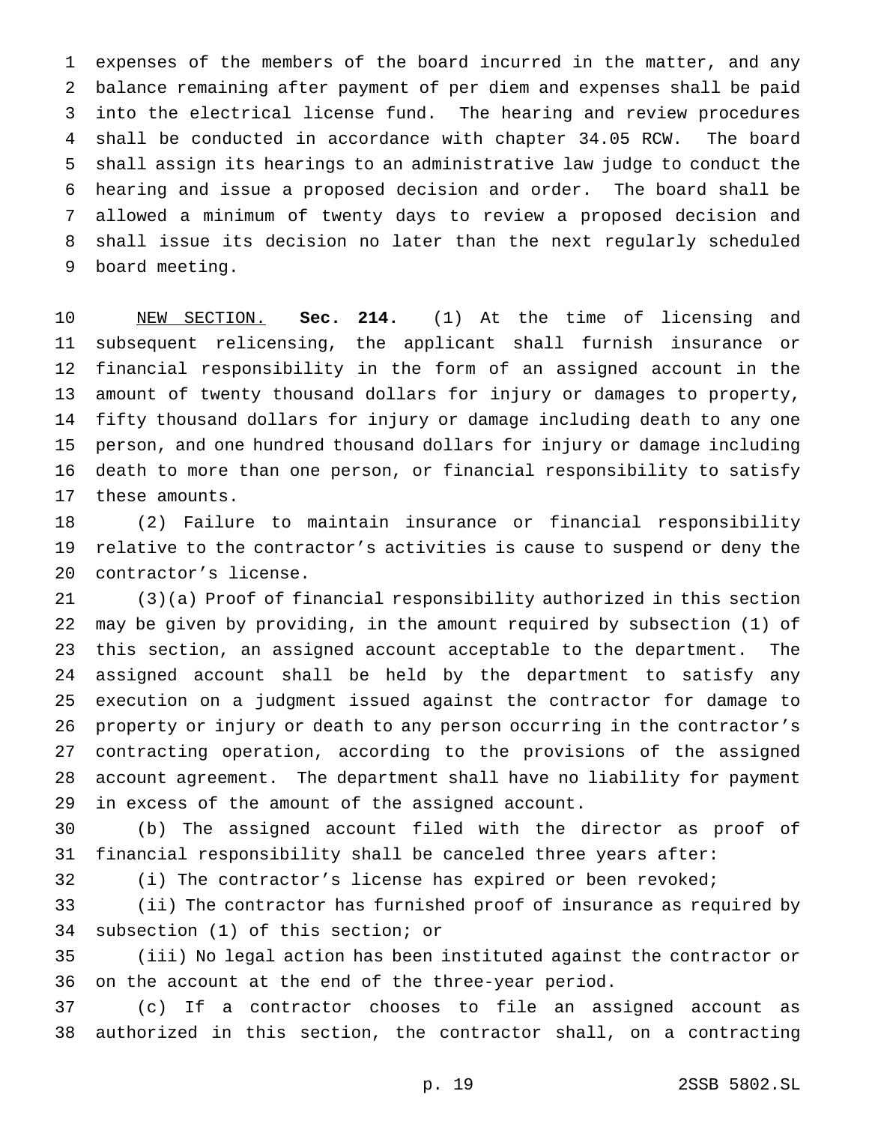expenses of the members of the board incurred in the matter, and any balance remaining after payment of per diem and expenses shall be paid into the electrical license fund. The hearing and review procedures shall be conducted in accordance with chapter 34.05 RCW. The board shall assign its hearings to an administrative law judge to conduct the hearing and issue a proposed decision and order. The board shall be allowed a minimum of twenty days to review a proposed decision and shall issue its decision no later than the next regularly scheduled board meeting.

 NEW SECTION. **Sec. 214.** (1) At the time of licensing and subsequent relicensing, the applicant shall furnish insurance or financial responsibility in the form of an assigned account in the amount of twenty thousand dollars for injury or damages to property, fifty thousand dollars for injury or damage including death to any one person, and one hundred thousand dollars for injury or damage including death to more than one person, or financial responsibility to satisfy these amounts.

 (2) Failure to maintain insurance or financial responsibility relative to the contractor's activities is cause to suspend or deny the contractor's license.

 (3)(a) Proof of financial responsibility authorized in this section may be given by providing, in the amount required by subsection (1) of this section, an assigned account acceptable to the department. The assigned account shall be held by the department to satisfy any execution on a judgment issued against the contractor for damage to property or injury or death to any person occurring in the contractor's contracting operation, according to the provisions of the assigned account agreement. The department shall have no liability for payment in excess of the amount of the assigned account.

 (b) The assigned account filed with the director as proof of financial responsibility shall be canceled three years after:

(i) The contractor's license has expired or been revoked;

 (ii) The contractor has furnished proof of insurance as required by subsection (1) of this section; or

 (iii) No legal action has been instituted against the contractor or on the account at the end of the three-year period.

 (c) If a contractor chooses to file an assigned account as authorized in this section, the contractor shall, on a contracting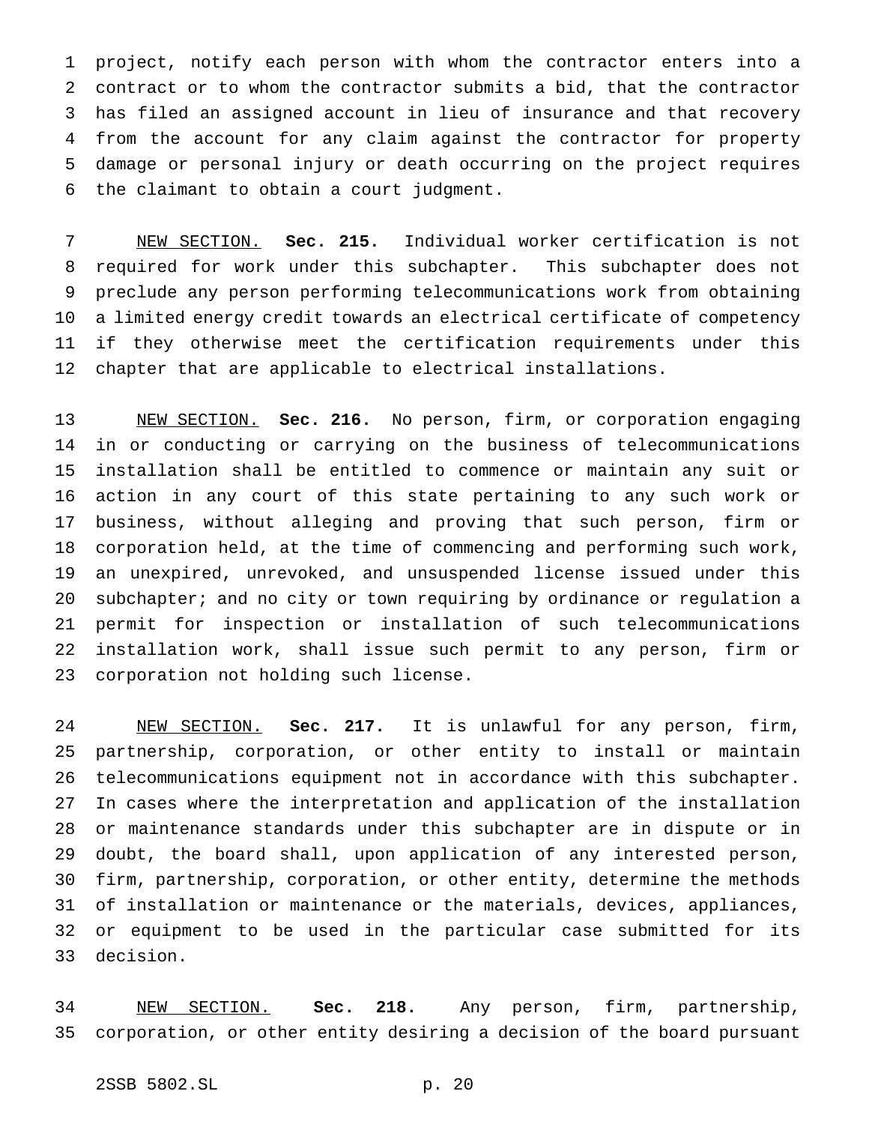project, notify each person with whom the contractor enters into a contract or to whom the contractor submits a bid, that the contractor has filed an assigned account in lieu of insurance and that recovery from the account for any claim against the contractor for property damage or personal injury or death occurring on the project requires the claimant to obtain a court judgment.

 NEW SECTION. **Sec. 215.** Individual worker certification is not required for work under this subchapter. This subchapter does not preclude any person performing telecommunications work from obtaining a limited energy credit towards an electrical certificate of competency if they otherwise meet the certification requirements under this chapter that are applicable to electrical installations.

 NEW SECTION. **Sec. 216.** No person, firm, or corporation engaging in or conducting or carrying on the business of telecommunications installation shall be entitled to commence or maintain any suit or action in any court of this state pertaining to any such work or business, without alleging and proving that such person, firm or corporation held, at the time of commencing and performing such work, an unexpired, unrevoked, and unsuspended license issued under this subchapter; and no city or town requiring by ordinance or regulation a permit for inspection or installation of such telecommunications installation work, shall issue such permit to any person, firm or corporation not holding such license.

 NEW SECTION. **Sec. 217.** It is unlawful for any person, firm, partnership, corporation, or other entity to install or maintain telecommunications equipment not in accordance with this subchapter. In cases where the interpretation and application of the installation or maintenance standards under this subchapter are in dispute or in doubt, the board shall, upon application of any interested person, firm, partnership, corporation, or other entity, determine the methods of installation or maintenance or the materials, devices, appliances, or equipment to be used in the particular case submitted for its decision.

 NEW SECTION. **Sec. 218.** Any person, firm, partnership, corporation, or other entity desiring a decision of the board pursuant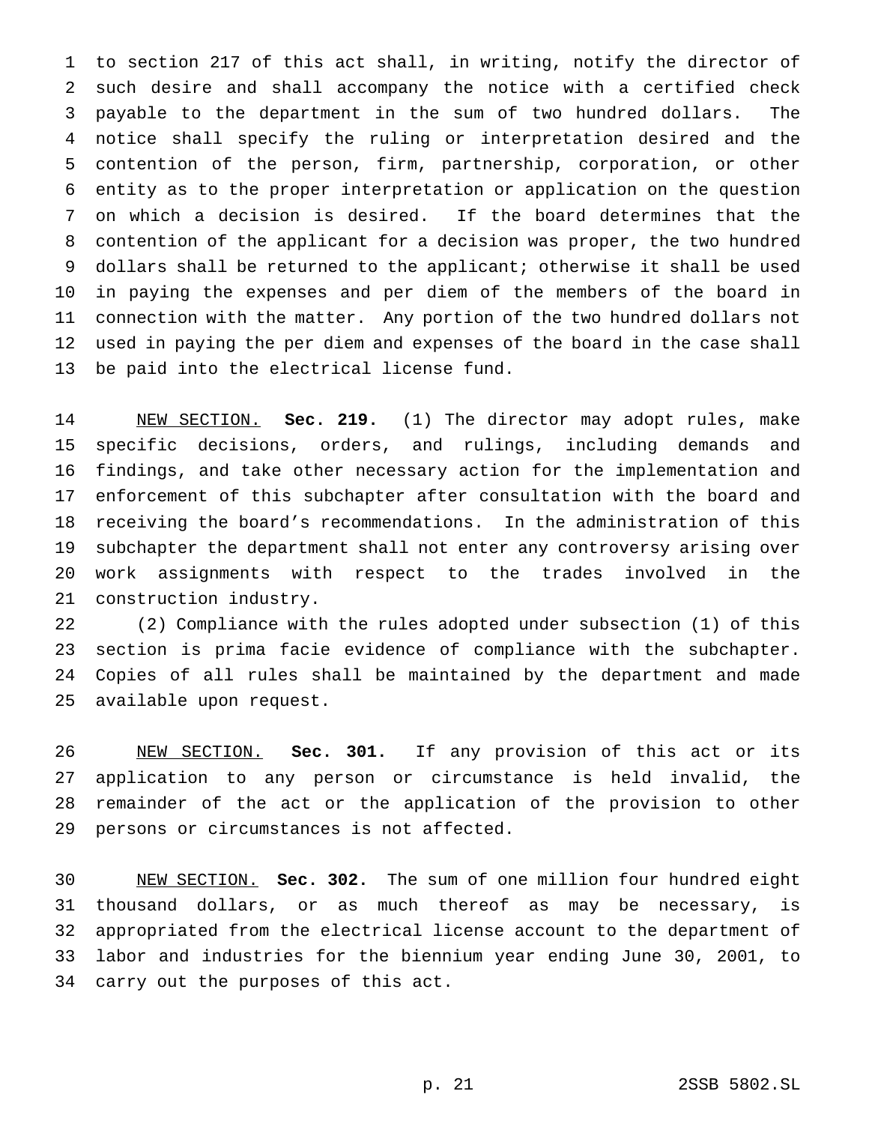to section 217 of this act shall, in writing, notify the director of such desire and shall accompany the notice with a certified check payable to the department in the sum of two hundred dollars. The notice shall specify the ruling or interpretation desired and the contention of the person, firm, partnership, corporation, or other entity as to the proper interpretation or application on the question on which a decision is desired. If the board determines that the contention of the applicant for a decision was proper, the two hundred dollars shall be returned to the applicant; otherwise it shall be used in paying the expenses and per diem of the members of the board in connection with the matter. Any portion of the two hundred dollars not used in paying the per diem and expenses of the board in the case shall be paid into the electrical license fund.

 NEW SECTION. **Sec. 219.** (1) The director may adopt rules, make specific decisions, orders, and rulings, including demands and findings, and take other necessary action for the implementation and enforcement of this subchapter after consultation with the board and receiving the board's recommendations. In the administration of this subchapter the department shall not enter any controversy arising over work assignments with respect to the trades involved in the construction industry.

 (2) Compliance with the rules adopted under subsection (1) of this section is prima facie evidence of compliance with the subchapter. Copies of all rules shall be maintained by the department and made available upon request.

 NEW SECTION. **Sec. 301.** If any provision of this act or its application to any person or circumstance is held invalid, the remainder of the act or the application of the provision to other persons or circumstances is not affected.

 NEW SECTION. **Sec. 302.** The sum of one million four hundred eight thousand dollars, or as much thereof as may be necessary, is appropriated from the electrical license account to the department of labor and industries for the biennium year ending June 30, 2001, to carry out the purposes of this act.